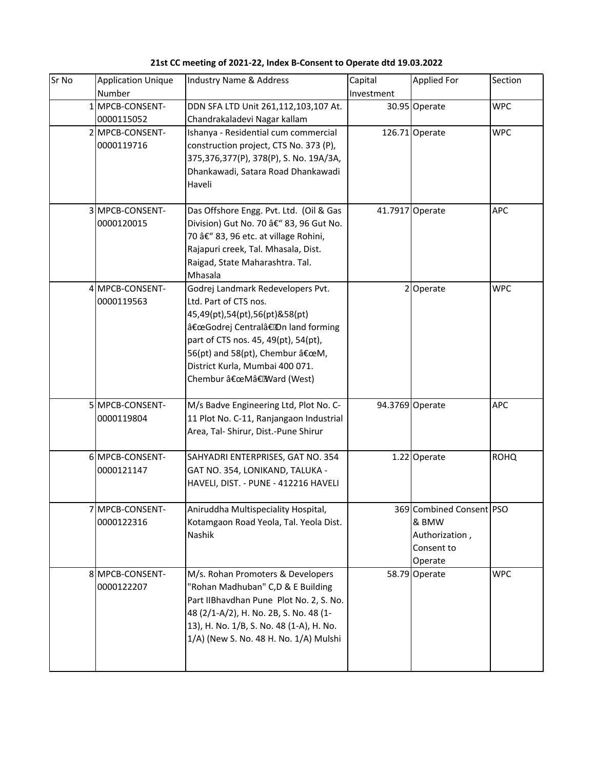| Sr No | <b>Application Unique</b><br>Number | <b>Industry Name &amp; Address</b>           | Capital    | <b>Applied For</b>       | Section     |
|-------|-------------------------------------|----------------------------------------------|------------|--------------------------|-------------|
|       |                                     |                                              | Investment |                          |             |
|       | 1 MPCB-CONSENT-                     | DDN SFA LTD Unit 261,112,103,107 At.         |            | 30.95 Operate            | <b>WPC</b>  |
|       | 0000115052                          | Chandrakaladevi Nagar kallam                 |            |                          |             |
|       | 2 MPCB-CONSENT-                     | Ishanya - Residential cum commercial         |            | 126.71 Operate           | <b>WPC</b>  |
|       | 0000119716                          | construction project, CTS No. 373 (P),       |            |                          |             |
|       |                                     | 375,376,377(P), 378(P), S. No. 19A/3A,       |            |                          |             |
|       |                                     | Dhankawadi, Satara Road Dhankawadi           |            |                          |             |
|       |                                     | Haveli                                       |            |                          |             |
|       |                                     |                                              |            |                          |             |
|       | 3 MPCB-CONSENT-                     | Das Offshore Engg. Pvt. Ltd. (Oil & Gas      |            | 41.7917 Operate          | <b>APC</b>  |
|       | 0000120015                          | Division) Gut No. 70 â€" 83, 96 Gut No.      |            |                          |             |
|       |                                     | 70 â€" 83, 96 etc. at village Rohini,        |            |                          |             |
|       |                                     | Rajapuri creek, Tal. Mhasala, Dist.          |            |                          |             |
|       |                                     | Raigad, State Maharashtra. Tal.              |            |                          |             |
|       |                                     | Mhasala                                      |            |                          |             |
|       | 4 MPCB-CONSENT-                     | Godrej Landmark Redevelopers Pvt.            |            | 2 Operate                | <b>WPC</b>  |
|       | 0000119563                          | Ltd. Part of CTS nos.                        |            |                          |             |
|       |                                     | 45,49(pt),54(pt),56(pt)&58(pt)               |            |                          |             |
|       |                                     | "Godrej Centralâ€ <sup>on</sup> land forming |            |                          |             |
|       |                                     | part of CTS nos. 45, 49(pt), 54(pt),         |            |                          |             |
|       |                                     | 56(pt) and 58(pt), Chembur "M,               |            |                          |             |
|       |                                     | District Kurla, Mumbai 400 071.              |            |                          |             |
|       |                                     | Chembur "M†Ward (West)                       |            |                          |             |
|       |                                     |                                              |            |                          |             |
|       | 5 MPCB-CONSENT-                     | M/s Badve Engineering Ltd, Plot No. C-       |            | 94.3769 Operate          | APC         |
|       | 0000119804                          | 11 Plot No. C-11, Ranjangaon Industrial      |            |                          |             |
|       |                                     | Area, Tal- Shirur, Dist.-Pune Shirur         |            |                          |             |
|       | 6 MPCB-CONSENT-                     | SAHYADRI ENTERPRISES, GAT NO. 354            |            | 1.22 Operate             | <b>ROHQ</b> |
|       | 0000121147                          | GAT NO. 354, LONIKAND, TALUKA -              |            |                          |             |
|       |                                     | HAVELI, DIST. - PUNE - 412216 HAVELI         |            |                          |             |
|       |                                     |                                              |            |                          |             |
|       | 7 MPCB-CONSENT-                     | Aniruddha Multispeciality Hospital,          |            | 369 Combined Consent PSO |             |
|       | 0000122316                          | Kotamgaon Road Yeola, Tal. Yeola Dist.       |            | & BMW                    |             |
|       |                                     | Nashik                                       |            | Authorization,           |             |
|       |                                     |                                              |            | Consent to               |             |
|       |                                     |                                              |            | Operate                  |             |
|       | 8 MPCB-CONSENT-                     | M/s. Rohan Promoters & Developers            |            | 58.79 Operate            | <b>WPC</b>  |
|       | 0000122207                          | "Rohan Madhuban" C,D & E Building            |            |                          |             |
|       |                                     | Part IIBhavdhan Pune Plot No. 2, S. No.      |            |                          |             |
|       |                                     | 48 (2/1-A/2), H. No. 2B, S. No. 48 (1-       |            |                          |             |
|       |                                     | 13), H. No. 1/B, S. No. 48 (1-A), H. No.     |            |                          |             |
|       |                                     | 1/A) (New S. No. 48 H. No. 1/A) Mulshi       |            |                          |             |
|       |                                     |                                              |            |                          |             |
|       |                                     |                                              |            |                          |             |